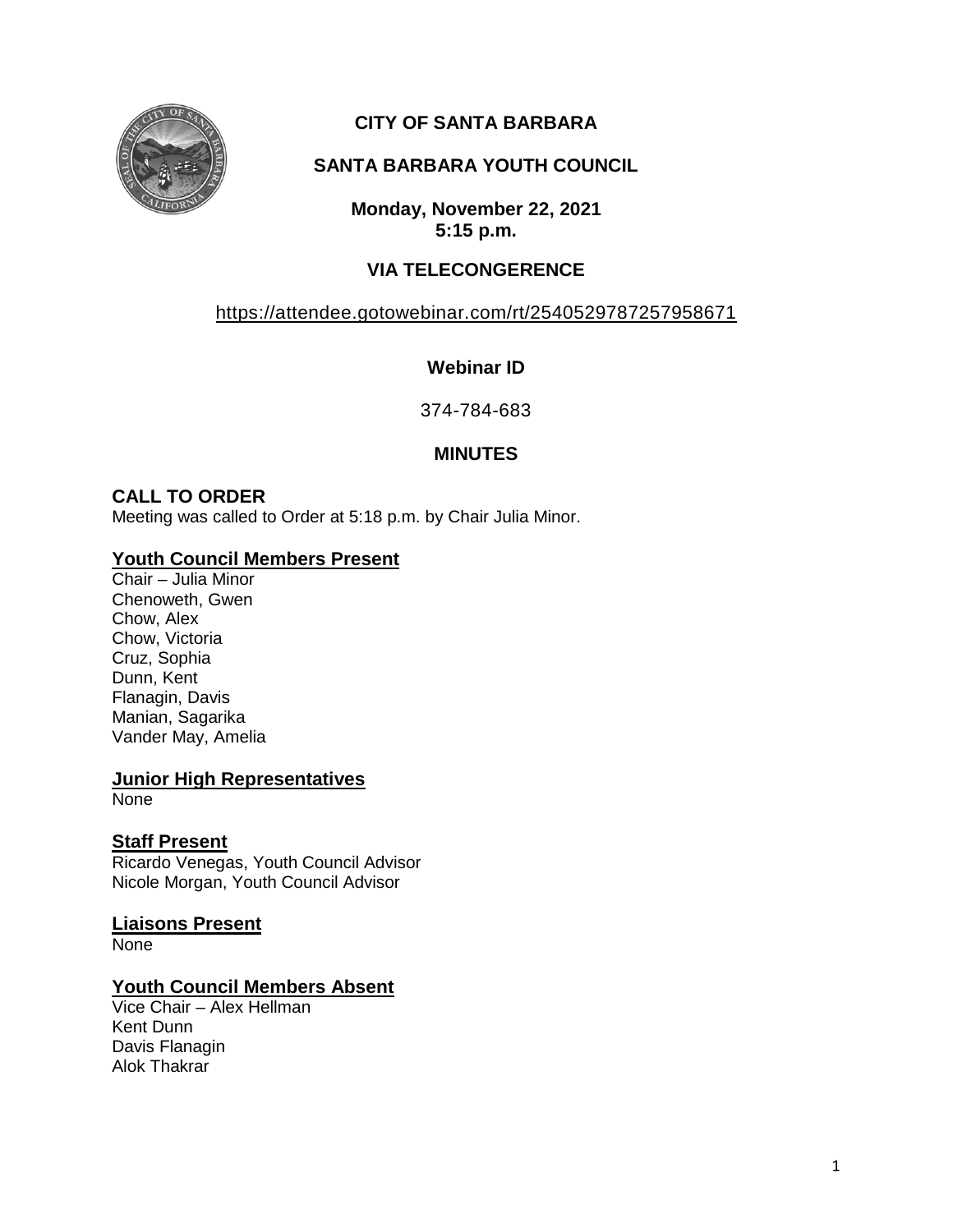

# **CITY OF SANTA BARBARA**

# **SANTA BARBARA YOUTH COUNCIL**

**Monday, November 22, 2021 5:15 p.m.**

# **VIA TELECONGERENCE**

# <https://attendee.gotowebinar.com/rt/2540529787257958671>

# **Webinar ID**

374-784-683

## **MINUTES**

## **CALL TO ORDER**

Meeting was called to Order at 5:18 p.m. by Chair Julia Minor.

## **Youth Council Members Present**

Chair – Julia Minor Chenoweth, Gwen Chow, Alex Chow, Victoria Cruz, Sophia Dunn, Kent Flanagin, Davis Manian, Sagarika Vander May, Amelia

#### **Junior High Representatives**

None

### **Staff Present**

Ricardo Venegas, Youth Council Advisor Nicole Morgan, Youth Council Advisor

### **Liaisons Present**

None

### **Youth Council Members Absent**

Vice Chair – Alex Hellman Kent Dunn Davis Flanagin Alok Thakrar